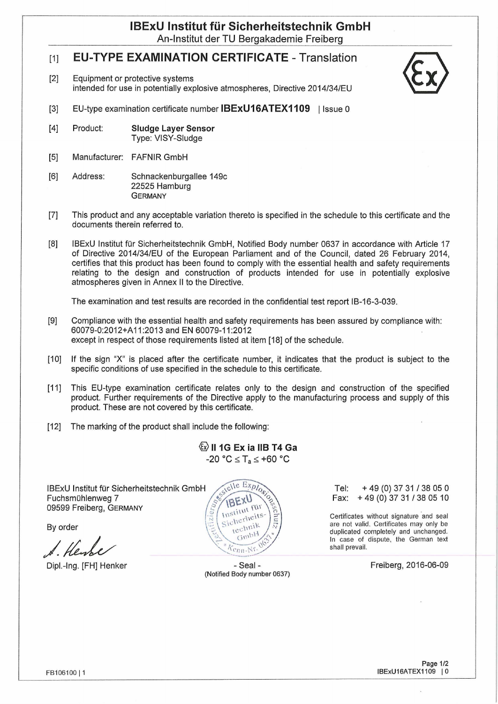## **IBExU Institut für Sicherheitstechnik GmbH** An-Institut der TU Bergakademie Freiberg

# [1] **EU-TYPE EXAMINATION CERTIFICATE** - Translation

[2] Equipment or protective systems intended for use in potentially explosive atmospheres, Directive 2014/34/EU



- [3] EU-type examination certificate number **IBExU16ATEX1109** | Issue 0
- **[4]** Product: **Sludge Layer Sensor** Type: VISY-Sludge
- [5] Manufacturer: FAFNIR GmbH
- [6] Address: Schnackenburgallee 149c 22525 Hamburg **GERMANY**
- [7] This product and any acceptable Variation thereto is specified in the schedule to this certificate and the documents therein referred to.
- [8] IBExU Institut für Sicherheitstechnik GmbH, Notified Body number 0637 in accordance with Article 17 of Directive 2014/34/EU of the European Parliament and of the Council, dated 26 February 2014, certifies that this product has been found to comply with the essential health and safety requirements relating to the design and construction of products intended for use in potentially explosive atmospheres given in Annex II to the Directive.

The examination and test results are recorded in the confidential test report IB-16-3-039.

- [9] Compliance with the essential health and safety requirements has been assured by compliance with: 60079-0:2012+A11:2013 and EN 60079-11:2012 except in respect of those requirements listed at item [18] of the schedule.
- [10] If the sign "X" is placed after the certificate number, it indicates that the product is subject to the specific conditions of use specified in the schedule to this certificate.
- [11] This EU-type examination certificate relates only to the design and construction of the specified product. Further requirements of the Directive apply to the manufacturing process and supply of this product. These are not covered by this certificate.
- [12] The marking of the product shall include the following:

**© II 1G Ex ia IIBT4 Ga**  $-20 °C \leq T_a \leq +60 °C$ 

IBExU Institut für Sicherheitstechnik GmbH Fuchsmühlenweg 7 09599 Freiberg, Germany

By order

Dipl.-Ing. [FH] Henker - Seal -



(Notified Body number 0637)

Tel: +49 (0) 37 31 /38 05 0 Fax: +49 (0) 37 31 /38 05 10

Certificates without signature and seal are not valid. Certificates may only be duplicated completely and unchanged. In case of dispute, the German text shall prevail.

Freiberg, 2016-06-09